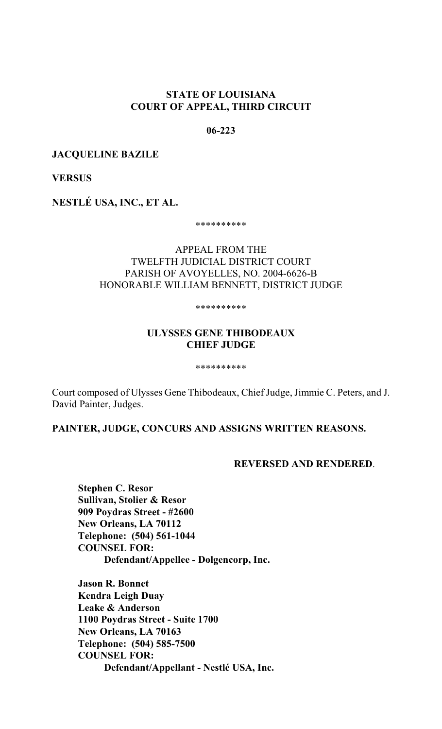## **STATE OF LOUISIANA COURT OF APPEAL, THIRD CIRCUIT**

#### **06-223**

#### **JACQUELINE BAZILE**

**VERSUS**

**NESTLÉ USA, INC., ET AL.**

\*\*\*\*\*\*\*\*\*\*

# APPEAL FROM THE TWELFTH JUDICIAL DISTRICT COURT PARISH OF AVOYELLES, NO. 2004-6626-B HONORABLE WILLIAM BENNETT, DISTRICT JUDGE

#### \*\*\*\*\*\*\*\*\*\*

## **ULYSSES GENE THIBODEAUX CHIEF JUDGE**

\*\*\*\*\*\*\*\*\*\*

Court composed of Ulysses Gene Thibodeaux, Chief Judge, Jimmie C. Peters, and J. David Painter, Judges.

**PAINTER, JUDGE, CONCURS AND ASSIGNS WRITTEN REASONS.**

#### **REVERSED AND RENDERED**.

**Stephen C. Resor Sullivan, Stolier & Resor 909 Poydras Street - #2600 New Orleans, LA 70112 Telephone: (504) 561-1044 COUNSEL FOR: Defendant/Appellee - Dolgencorp, Inc.**

**Jason R. Bonnet Kendra Leigh Duay Leake & Anderson 1100 Poydras Street - Suite 1700 New Orleans, LA 70163 Telephone: (504) 585-7500 COUNSEL FOR: Defendant/Appellant - Nestlé USA, Inc.**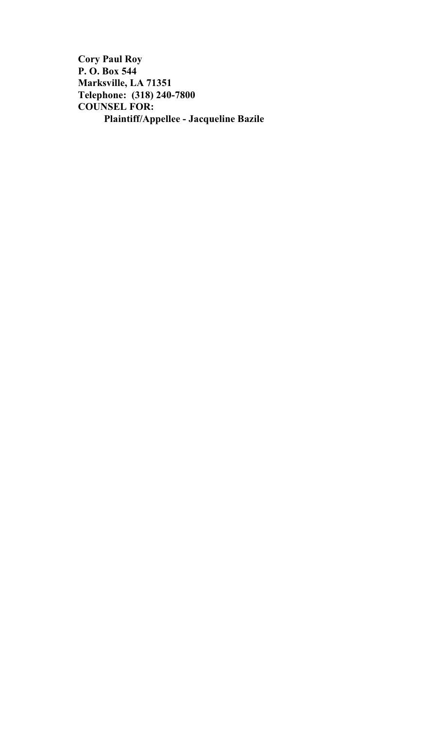**Cory Paul Roy P. O. Box 544 Marksville, LA 71351 Telephone: (318) 240-7800 COUNSEL FOR: Plaintiff/Appellee - Jacqueline Bazile**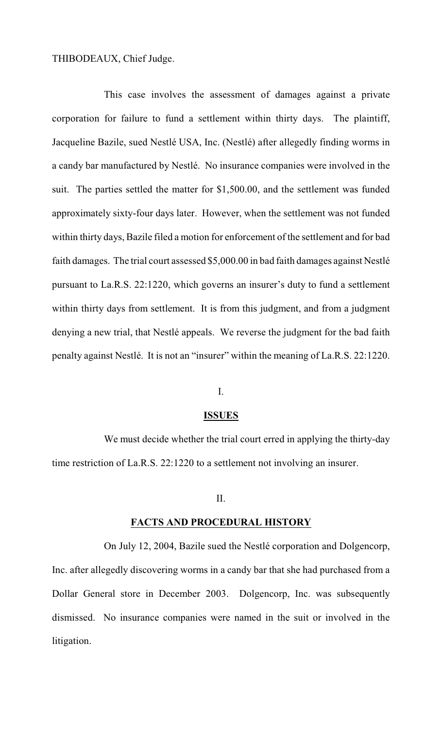## THIBODEAUX, Chief Judge.

This case involves the assessment of damages against a private corporation for failure to fund a settlement within thirty days. The plaintiff, Jacqueline Bazile, sued Nestlé USA, Inc. (Nestlé) after allegedly finding worms in a candy bar manufactured by Nestlé. No insurance companies were involved in the suit. The parties settled the matter for \$1,500.00, and the settlement was funded approximately sixty-four days later. However, when the settlement was not funded within thirty days, Bazile filed a motion for enforcement of the settlement and for bad faith damages. The trial court assessed \$5,000.00 in bad faith damages against Nestlé pursuant to La.R.S. 22:1220, which governs an insurer's duty to fund a settlement within thirty days from settlement. It is from this judgment, and from a judgment denying a new trial, that Nestlé appeals. We reverse the judgment for the bad faith penalty against Nestlé. It is not an "insurer" within the meaning of La.R.S. 22:1220.

### I.

#### **ISSUES**

We must decide whether the trial court erred in applying the thirty-day time restriction of La.R.S. 22:1220 to a settlement not involving an insurer.

### II.

#### **FACTS AND PROCEDURAL HISTORY**

On July 12, 2004, Bazile sued the Nestlé corporation and Dolgencorp, Inc. after allegedly discovering worms in a candy bar that she had purchased from a Dollar General store in December 2003. Dolgencorp, Inc. was subsequently dismissed. No insurance companies were named in the suit or involved in the litigation.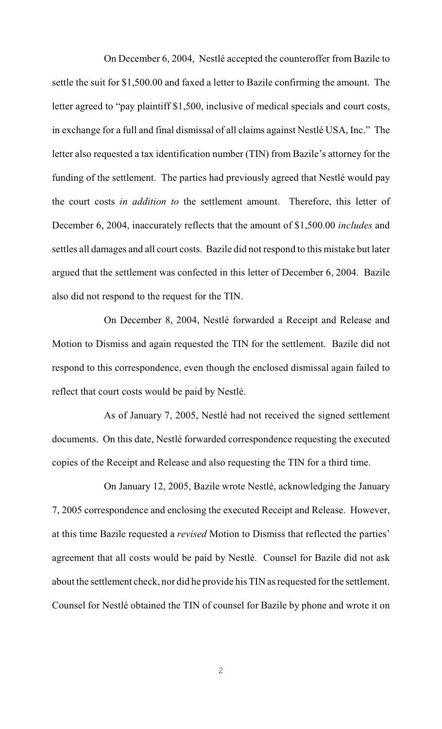On December 6, 2004, Nestlé accepted the counteroffer from Bazile to settle the suit for \$1,500.00 and faxed a letter to Bazile confirming the amount. The letter agreed to "pay plaintiff \$1,500, inclusive of medical specials and court costs, in exchange for a full and final dismissal of all claims against Nestlé USA, Inc." The letter also requested a tax identification number (TIN) from Bazile's attorney for the funding of the settlement. The parties had previously agreed that Nestlé would pay the court costs *in addition to* the settlement amount. Therefore, this letter of December 6, 2004, inaccurately reflects that the amount of \$1,500.00 *includes* and settles all damages and all court costs. Bazile did not respond to this mistake but later argued that the settlement was confected in this letter of December 6, 2004. Bazile also did not respond to the request for the TIN.

On December 8, 2004, Nestlé forwarded a Receipt and Release and Motion to Dismiss and again requested the TIN for the settlement. Bazile did not respond to this correspondence, even though the enclosed dismissal again failed to reflect that court costs would be paid by Nestlé.

As of January 7, 2005, Nestlé had not received the signed settlement documents. On this date, Nestlé forwarded correspondence requesting the executed copies of the Receipt and Release and also requesting the TIN for a third time.

On January 12, 2005, Bazile wrote Nestlé, acknowledging the January 7, 2005 correspondence and enclosing the executed Receipt and Release. However, at this time Bazile requested a *revised* Motion to Dismiss that reflected the parties' agreement that all costs would be paid by Nestlé. Counsel for Bazile did not ask about the settlement check, nor did he provide his TIN as requested for the settlement. Counsel for Nestlé obtained the TIN of counsel for Bazile by phone and wrote it on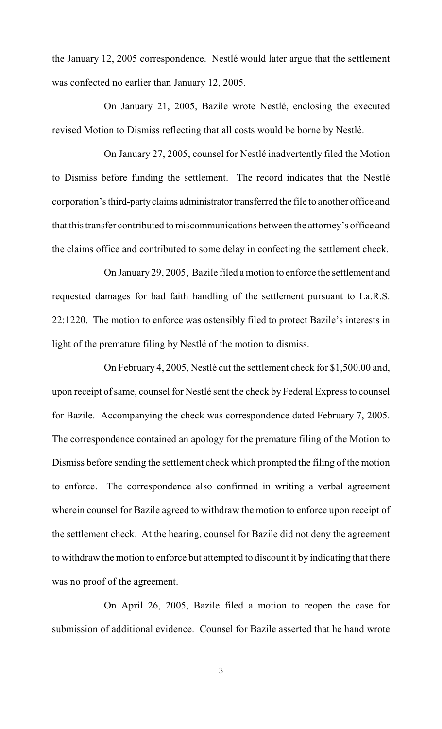the January 12, 2005 correspondence. Nestlé would later argue that the settlement was confected no earlier than January 12, 2005.

On January 21, 2005, Bazile wrote Nestlé, enclosing the executed revised Motion to Dismiss reflecting that all costs would be borne by Nestlé.

On January 27, 2005, counsel for Nestlé inadvertently filed the Motion to Dismiss before funding the settlement. The record indicates that the Nestlé corporation's third-party claims administrator transferred the file to another office and that this transfer contributed to miscommunications between the attorney's office and the claims office and contributed to some delay in confecting the settlement check.

On January 29, 2005, Bazile filed a motion to enforce the settlement and requested damages for bad faith handling of the settlement pursuant to La.R.S. 22:1220. The motion to enforce was ostensibly filed to protect Bazile's interests in light of the premature filing by Nestlé of the motion to dismiss.

On February 4, 2005, Nestlé cut the settlement check for \$1,500.00 and, upon receipt of same, counsel for Nestlé sent the check by Federal Express to counsel for Bazile. Accompanying the check was correspondence dated February 7, 2005. The correspondence contained an apology for the premature filing of the Motion to Dismiss before sending the settlement check which prompted the filing of the motion to enforce. The correspondence also confirmed in writing a verbal agreement wherein counsel for Bazile agreed to withdraw the motion to enforce upon receipt of the settlement check. At the hearing, counsel for Bazile did not deny the agreement to withdraw the motion to enforce but attempted to discount it by indicating that there was no proof of the agreement.

On April 26, 2005, Bazile filed a motion to reopen the case for submission of additional evidence. Counsel for Bazile asserted that he hand wrote

3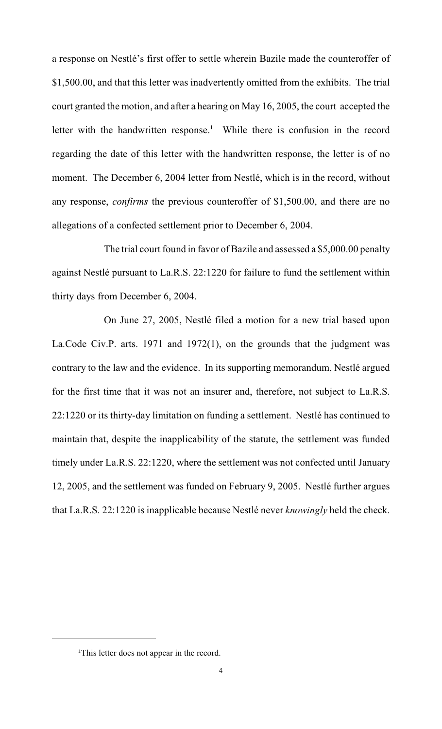a response on Nestlé's first offer to settle wherein Bazile made the counteroffer of \$1,500.00, and that this letter was inadvertently omitted from the exhibits. The trial court granted the motion, and after a hearing on May 16, 2005, the court accepted the letter with the handwritten response.<sup>1</sup> While there is confusion in the record regarding the date of this letter with the handwritten response, the letter is of no moment. The December 6, 2004 letter from Nestlé, which is in the record, without any response, *confirms* the previous counteroffer of \$1,500.00, and there are no allegations of a confected settlement prior to December 6, 2004.

The trial court found in favor of Bazile and assessed a \$5,000.00 penalty against Nestlé pursuant to La.R.S. 22:1220 for failure to fund the settlement within thirty days from December 6, 2004.

On June 27, 2005, Nestlé filed a motion for a new trial based upon La.Code Civ.P. arts. 1971 and 1972(1), on the grounds that the judgment was contrary to the law and the evidence. In its supporting memorandum, Nestlé argued for the first time that it was not an insurer and, therefore, not subject to La.R.S. 22:1220 or its thirty-day limitation on funding a settlement. Nestlé has continued to maintain that, despite the inapplicability of the statute, the settlement was funded timely under La.R.S. 22:1220, where the settlement was not confected until January 12, 2005, and the settlement was funded on February 9, 2005. Nestlé further argues that La.R.S. 22:1220 is inapplicable because Nestlé never *knowingly* held the check.

<sup>&</sup>lt;sup>1</sup>This letter does not appear in the record.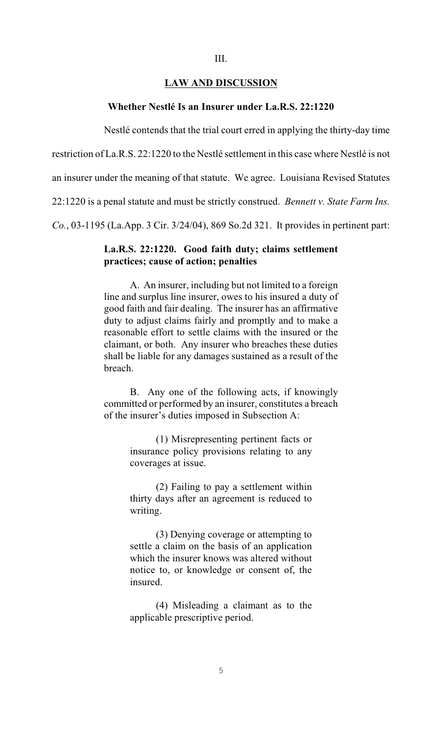### III.

### **LAW AND DISCUSSION**

### **Whether Nestlé Is an Insurer under La.R.S. 22:1220**

Nestlé contends that the trial court erred in applying the thirty-day time

restriction of La.R.S. 22:1220 to the Nestlé settlement in this case where Nestlé is not

an insurer under the meaning of that statute. We agree. Louisiana Revised Statutes

22:1220 is a penal statute and must be strictly construed. *Bennett v. State Farm Ins.*

*Co.*, 03-1195 (La.App. 3 Cir. 3/24/04), 869 So.2d 321. It provides in pertinent part:

### **La.R.S. 22:1220. Good faith duty; claims settlement practices; cause of action; penalties**

A. An insurer, including but not limited to a foreign line and surplus line insurer, owes to his insured a duty of good faith and fair dealing. The insurer has an affirmative duty to adjust claims fairly and promptly and to make a reasonable effort to settle claims with the insured or the claimant, or both. Any insurer who breaches these duties shall be liable for any damages sustained as a result of the breach.

B. Any one of the following acts, if knowingly committed or performed by an insurer, constitutes a breach of the insurer's duties imposed in Subsection A:

> (1) Misrepresenting pertinent facts or insurance policy provisions relating to any coverages at issue.

> (2) Failing to pay a settlement within thirty days after an agreement is reduced to writing.

> (3) Denying coverage or attempting to settle a claim on the basis of an application which the insurer knows was altered without notice to, or knowledge or consent of, the insured.

> (4) Misleading a claimant as to the applicable prescriptive period.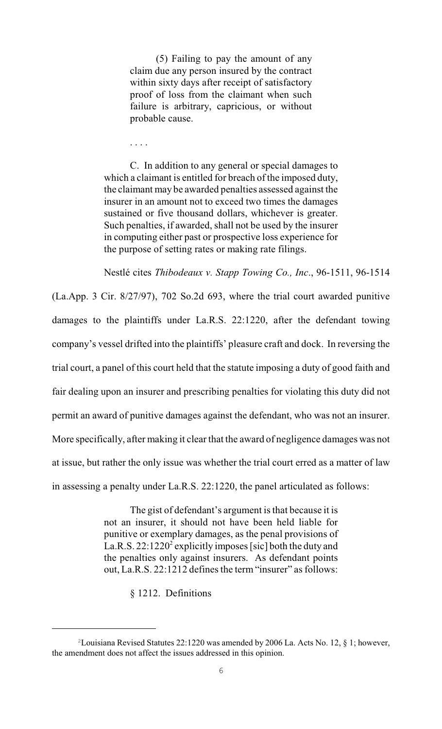(5) Failing to pay the amount of any claim due any person insured by the contract within sixty days after receipt of satisfactory proof of loss from the claimant when such failure is arbitrary, capricious, or without probable cause.

. . . .

C. In addition to any general or special damages to which a claimant is entitled for breach of the imposed duty, the claimant may be awarded penalties assessed against the insurer in an amount not to exceed two times the damages sustained or five thousand dollars, whichever is greater. Such penalties, if awarded, shall not be used by the insurer in computing either past or prospective loss experience for the purpose of setting rates or making rate filings.

Nestlé cites *Thibodeaux v. Stapp Towing Co., Inc*., 96-1511, 96-1514 (La.App. 3 Cir. 8/27/97), 702 So.2d 693, where the trial court awarded punitive damages to the plaintiffs under La.R.S. 22:1220, after the defendant towing company's vessel drifted into the plaintiffs' pleasure craft and dock. In reversing the trial court, a panel of this court held that the statute imposing a duty of good faith and fair dealing upon an insurer and prescribing penalties for violating this duty did not permit an award of punitive damages against the defendant, who was not an insurer. More specifically, after making it clear that the award of negligence damages was not at issue, but rather the only issue was whether the trial court erred as a matter of law in assessing a penalty under La.R.S. 22:1220, the panel articulated as follows:

> The gist of defendant's argument is that because it is not an insurer, it should not have been held liable for punitive or exemplary damages, as the penal provisions of La.R.S. 22:1220<sup>2</sup> explicitly imposes [sic] both the duty and the penalties only against insurers. As defendant points out, La.R.S. 22:1212 defines the term "insurer" as follows:

> > § 1212. Definitions

 $2$ Louisiana Revised Statutes 22:1220 was amended by 2006 La. Acts No. 12, § 1; however, the amendment does not affect the issues addressed in this opinion.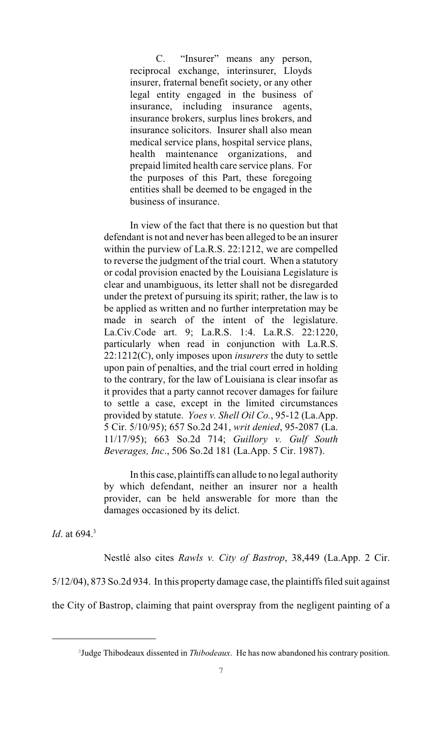C. "Insurer" means any person, reciprocal exchange, interinsurer, Lloyds insurer, fraternal benefit society, or any other legal entity engaged in the business of insurance, including insurance agents, insurance brokers, surplus lines brokers, and insurance solicitors. Insurer shall also mean medical service plans, hospital service plans, health maintenance organizations, and prepaid limited health care service plans. For the purposes of this Part, these foregoing entities shall be deemed to be engaged in the business of insurance.

In view of the fact that there is no question but that defendant is not and never has been alleged to be an insurer within the purview of La.R.S. 22:1212, we are compelled to reverse the judgment of the trial court. When a statutory or codal provision enacted by the Louisiana Legislature is clear and unambiguous, its letter shall not be disregarded under the pretext of pursuing its spirit; rather, the law is to be applied as written and no further interpretation may be made in search of the intent of the legislature. La.Civ.Code art. 9; La.R.S. 1:4. La.R.S. 22:1220, particularly when read in conjunction with La.R.S. 22:1212(C), only imposes upon *insurers* the duty to settle upon pain of penalties, and the trial court erred in holding to the contrary, for the law of Louisiana is clear insofar as it provides that a party cannot recover damages for failure to settle a case, except in the limited circumstances provided by statute. *Yoes v. Shell Oil Co.*, 95-12 (La.App. 5 Cir. 5/10/95); 657 So.2d 241, *writ denied*, 95-2087 (La. 11/17/95); 663 So.2d 714; *Guillory v. Gulf South Beverages, Inc*., 506 So.2d 181 (La.App. 5 Cir. 1987).

In this case, plaintiffs can allude to no legal authority by which defendant, neither an insurer nor a health provider, can be held answerable for more than the damages occasioned by its delict.

*Id.* at 694.<sup>3</sup>

Nestlé also cites *Rawls v. City of Bastrop*, 38,449 (La.App. 2 Cir. 5/12/04), 873 So.2d 934. In this property damage case, the plaintiffs filed suit against the City of Bastrop, claiming that paint overspray from the negligent painting of a

<sup>&</sup>lt;sup>3</sup>Judge Thibodeaux dissented in *Thibodeaux*. He has now abandoned his contrary position.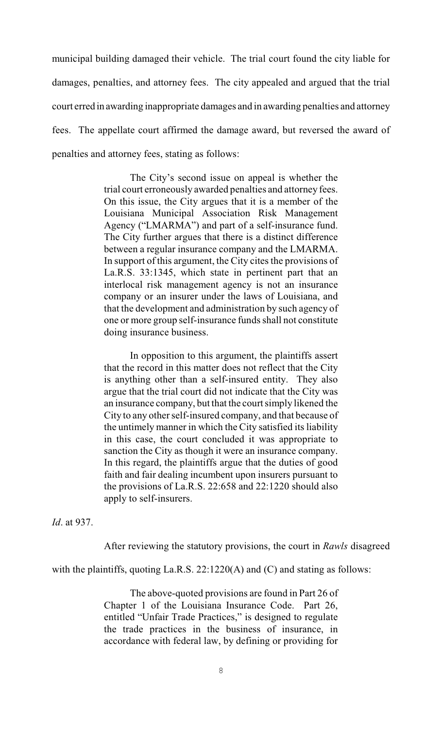municipal building damaged their vehicle. The trial court found the city liable for damages, penalties, and attorney fees. The city appealed and argued that the trial court erred in awarding inappropriate damages and in awarding penalties and attorney fees. The appellate court affirmed the damage award, but reversed the award of penalties and attorney fees, stating as follows:

> The City's second issue on appeal is whether the trial court erroneously awarded penalties and attorney fees. On this issue, the City argues that it is a member of the Louisiana Municipal Association Risk Management Agency ("LMARMA") and part of a self-insurance fund. The City further argues that there is a distinct difference between a regular insurance company and the LMARMA. In support of this argument, the City cites the provisions of La.R.S. 33:1345, which state in pertinent part that an interlocal risk management agency is not an insurance company or an insurer under the laws of Louisiana, and that the development and administration by such agency of one or more group self-insurance funds shall not constitute doing insurance business.

> In opposition to this argument, the plaintiffs assert that the record in this matter does not reflect that the City is anything other than a self-insured entity. They also argue that the trial court did not indicate that the City was an insurance company, but that the court simply likened the City to any other self-insured company, and that because of the untimely manner in which the City satisfied its liability in this case, the court concluded it was appropriate to sanction the City as though it were an insurance company. In this regard, the plaintiffs argue that the duties of good faith and fair dealing incumbent upon insurers pursuant to the provisions of La.R.S. 22:658 and 22:1220 should also apply to self-insurers.

*Id*. at 937.

After reviewing the statutory provisions, the court in *Rawls* disagreed

with the plaintiffs, quoting La.R.S. 22:1220(A) and (C) and stating as follows:

The above-quoted provisions are found in Part 26 of Chapter 1 of the Louisiana Insurance Code. Part 26, entitled "Unfair Trade Practices," is designed to regulate the trade practices in the business of insurance, in accordance with federal law, by defining or providing for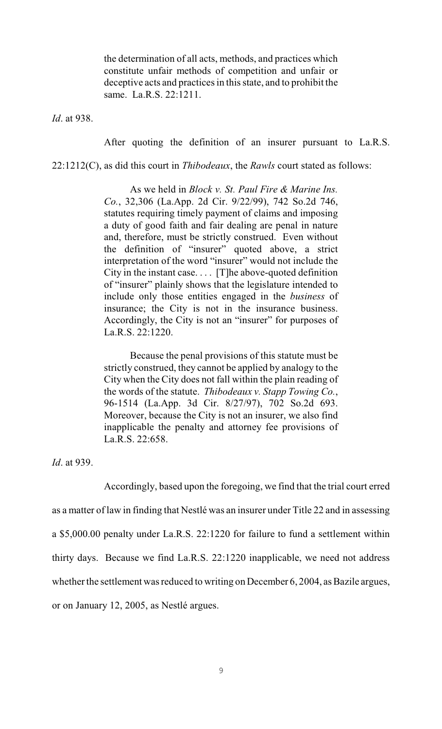the determination of all acts, methods, and practices which constitute unfair methods of competition and unfair or deceptive acts and practices in this state, and to prohibit the same. La.R.S. 22:1211.

*Id*. at 938.

After quoting the definition of an insurer pursuant to La.R.S.

22:1212(C), as did this court in *Thibodeaux*, the *Rawls* court stated as follows:

As we held in *Block v. St. Paul Fire & Marine Ins. Co.*, 32,306 (La.App. 2d Cir. 9/22/99), 742 So.2d 746, statutes requiring timely payment of claims and imposing a duty of good faith and fair dealing are penal in nature and, therefore, must be strictly construed. Even without the definition of "insurer" quoted above, a strict interpretation of the word "insurer" would not include the City in the instant case. . . . [T]he above-quoted definition of "insurer" plainly shows that the legislature intended to include only those entities engaged in the *business* of insurance; the City is not in the insurance business. Accordingly, the City is not an "insurer" for purposes of La.R.S. 22:1220.

Because the penal provisions of this statute must be strictly construed, they cannot be applied by analogy to the City when the City does not fall within the plain reading of the words of the statute. *Thibodeaux v. Stapp Towing Co.*, 96-1514 (La.App. 3d Cir. 8/27/97), 702 So.2d 693. Moreover, because the City is not an insurer, we also find inapplicable the penalty and attorney fee provisions of La.R.S. 22:658.

*Id*. at 939.

Accordingly, based upon the foregoing, we find that the trial court erred

as a matter of law in finding that Nestlé was an insurer under Title 22 and in assessing

a \$5,000.00 penalty under La.R.S. 22:1220 for failure to fund a settlement within

thirty days. Because we find La.R.S. 22:1220 inapplicable, we need not address

whether the settlement was reduced to writing on December 6, 2004, as Bazile argues,

or on January 12, 2005, as Nestlé argues.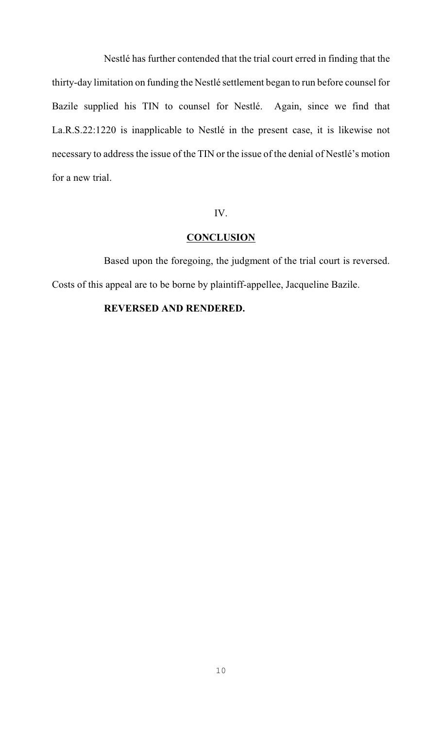Nestlé has further contended that the trial court erred in finding that the thirty-day limitation on funding the Nestlé settlement began to run before counsel for Bazile supplied his TIN to counsel for Nestlé. Again, since we find that La.R.S.22:1220 is inapplicable to Nestlé in the present case, it is likewise not necessary to address the issue of the TIN or the issue of the denial of Nestlé's motion for a new trial.

## IV.

### **CONCLUSION**

Based upon the foregoing, the judgment of the trial court is reversed. Costs of this appeal are to be borne by plaintiff-appellee, Jacqueline Bazile.

# **REVERSED AND RENDERED.**